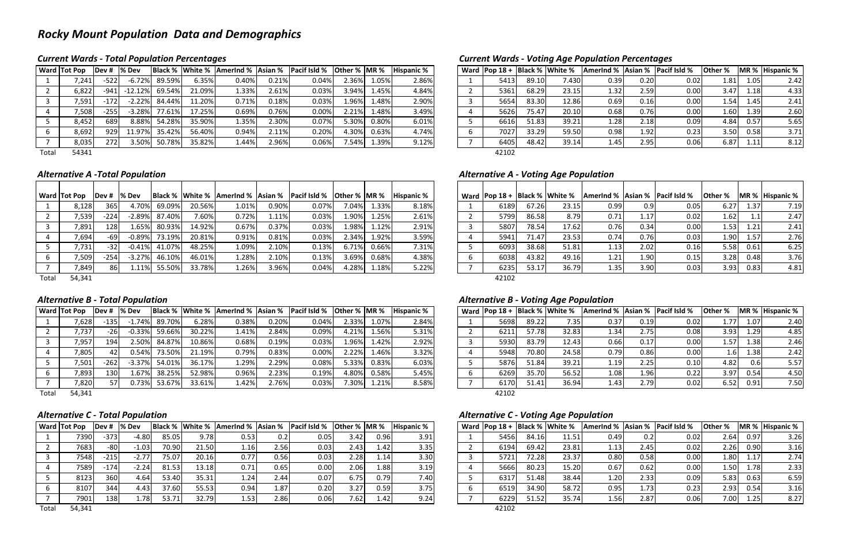# *Rocky Mount Population Data and Demographics*

### **Current Wards - Total Population Percentages**

*Wards ‐ Total Population Percentages Current Wards ‐ Voting Age Population Percentages*

| Ward           | $Pop 18 +$ |       | <b>Black % White %</b> | <b>Amerind % Asian %</b> |      | Pacif Isld % | <b>Other %</b> |      | MR % Hispanic % |
|----------------|------------|-------|------------------------|--------------------------|------|--------------|----------------|------|-----------------|
| 1              | 5413       | 89.10 | 7.430                  | 0.39                     | 0.20 | 0.02         | 1.81           | 1.05 | 2.42            |
| $\overline{2}$ | 5361       | 68.29 | 23.15                  | 1.32                     | 2.59 | 0.00         | 3.47           | 1.18 | 4.33            |
| 3              | 5654       | 83.30 | 12.86                  | 0.69                     | 0.16 | 0.00         | 1.54           | 1.45 | 2.41            |
| 4              | 5626       | 75.47 | 20.10                  | 0.68                     | 0.76 | 0.00         | 1.60           | 1.39 | 2.60            |
| 5              | 6616       | 51.83 | 39.21                  | 1.28                     | 2.18 | 0.09         | 4.84           | 0.57 | 5.65            |
| 6              | 7027       | 33.29 | 59.50                  | 0.98                     | 1.92 | 0.23         | 3.50           | 0.58 | 3.71            |
| 7              | 6405       | 48.42 | 39.14                  | 1.45                     | 2.95 | 0.06         | 6.87           | 1.11 | 8.12            |
|                | 42102      |       |                        |                          |      |              |                |      |                 |

|       | <b>Ward Tot Pop</b> | <b>IDev#</b> | <b>Sex</b> Dev |        |        |       |       | Black %   White %   AmerInd %   Asian %   Pacif Isld % | Other % MR % |       | <b>Hispanic %</b> |  | Ward   Pop $18 +$   Black %   White % |       |       | AmerInd % Asian % |      | <b>Pacif Isld %</b> | <b>Other</b> % |       | MR % Hispanic % |
|-------|---------------------|--------------|----------------|--------|--------|-------|-------|--------------------------------------------------------|--------------|-------|-------------------|--|---------------------------------------|-------|-------|-------------------|------|---------------------|----------------|-------|-----------------|
|       | 7,241               | $-522$       | $-6.72%$       | 89.59% | 6.35%  | 0.40% | 0.21% | 0.04%                                                  | 2.36%        | 1.05% | 2.86%             |  | 5413                                  | 89.10 | 7.430 | 0.39              | 0.20 | 0.02                | 1.81           | 1.051 | 2.42            |
|       | 6,822               | -941         | $-12.12%$      | 69.54% | 21.09% | 1.33% | 2.61% | 0.03%                                                  | 3.94%        | 1.45% | 4.84%             |  | 5361                                  | 68.29 | 23.15 | 1.32              | 2.59 | 0.00                | 3.47           | 1.18  | 4.33            |
|       | 7,591               | $-172$       | $-2.22%$       | 84.44% | 11.20% | 0.71% | 0.18% | 0.03%                                                  | 1.96%        | 1.48% | 2.90%             |  | 5654                                  | 83.30 | 12.86 | 0.69              | 0.16 | 0.00                | 1.54           | 1.45  | 2.41            |
|       | 7,508               | $-255$       | $-3.28%$       | 77.61% | 17.25% | 0.69% | 0.76% | 0.00%                                                  | 2.21%        | 1.48% | 3.49%             |  | 5626                                  | 75.47 | 20.10 | 0.68              | 0.76 | 0.00                | 1.60           | 1.39  | 2.60            |
|       | 8,452               | 689          | 8.88%          | 54.28% | 35.90% | 1.35% | 2.30% | 0.07%                                                  | 5.30%        | 0.80% | 6.01%             |  | 6616                                  | 51.83 | 39.21 | 1.28              | 2.18 | 0.09                | 4.84           | 0.57  | 5.65            |
|       | 8,692               | 929          | 11.97%         | 35.42% | 56.40% | 0.94% | 2.11% | 0.20%                                                  | 4.30%        | 0.63% | 4.74%             |  | 7027                                  | 33.29 | 59.50 | 0.98              | 1.92 | 0.23                | 3.50           | 0.58  | 3.71            |
|       | 8,035               | 272          | 3.50%          | 50.78% | 35.82% | 1.44% | 2.96% | 0.06%                                                  | .54%         | 1.39% | 9.12%             |  | 6405                                  | 48.42 | 39.14 | 1.45              | 2.95 | 0.06                | 6.87           | 1.11  | 8.12            |
| Total | 54341               |              |                |        |        |       |       |                                                        |              |       |                   |  | 42102                                 |       |       |                   |      |                     |                |       |                 |

Total 54341

#### *Alternative*

### *A ‐Total Population Alternative A ‐ Voting Age Population*

| Ward | $Pop 18 +$ |       | <b>Black % White %</b> | AmerInd % Asian % |      | <b>Pacif Isld %</b> | Other % | $IMR$ % | <b>Hispanic %</b> |
|------|------------|-------|------------------------|-------------------|------|---------------------|---------|---------|-------------------|
|      | 6189       | 67.26 | 23.15                  | 0.99              | 0.9  | 0.05                | 6.27    | 1.37    | 7.19              |
| 2    | 5799       | 86.58 | 8.79                   | 0.71              | 1.17 | 0.02                | 1.62    | 1.1     | 2.47              |
| 3    | 5807       | 78.54 | 17.62                  | 0.76              | 0.34 | 0.00                | 1.53    | 1.21    | 2.41              |
| 4    | 5941       | 71.47 | 23.53                  | 0.74              | 0.76 | 0.03                | 1.90    | 1.57    | 2.76              |
| 5    | 6093       | 38.68 | 51.81                  | 1.13              | 2.02 | 0.16                | 5.58    | 0.61    | 6.25              |
| 6    | 6038       | 43.82 | 49.16                  | 1.21              | 1.90 | 0.15                | 3.28    | 0.48    | 3.76              |
| 7    | 6235       | 53.17 | 36.79                  | 1.35              | 3.90 | 0.03                | 3.93    | 0.83    | 4.81              |
|      | 42102      |       |                        |                   |      |                     |         |         |                   |

|       | <b>Ward Tot Pop</b> | lDev # | l% Dev   |        |        | <b>Black % White % Amerind % Asian %</b> |       | <b>Pacif Isld % Other % MR %</b> |       |       | <b>Hispanic %</b> |  | Ward   Pop $18 +$   Black %   White % |       |       | Amerind % Asian % |      | <b>Pacif Isld %</b> | <b>Other</b> % |      | MR % Hispanic % |
|-------|---------------------|--------|----------|--------|--------|------------------------------------------|-------|----------------------------------|-------|-------|-------------------|--|---------------------------------------|-------|-------|-------------------|------|---------------------|----------------|------|-----------------|
|       | 8,128               | 365    | 4.70%    | 69.09% | 20.56% | 1.01%                                    | 0.90% | 0.07%                            | 7.04% | 1.33% | 8.18%             |  | 6189                                  | 67.26 | 23.15 | 0.99              |      | 0.05                | 6.27           | 1.37 | 7.19            |
|       | 7,539               | $-224$ | $-2.89%$ | 87.40% | 7.60%  | 0.72%                                    | 1.11% | 0.03%                            | 1.90% | 1.25% | 2.61%             |  | 5799                                  | 86.58 | 8.79  | 0.71              | 1.17 | 0.02                | 1.62           | 1.1  | 2.47            |
|       | 7,891               | 128    | 1.65%    | 80.93% | 14.92% | 0.67%                                    | 0.37% | 0.03%                            | 1.98% | 1.12% | 2.91%             |  | 5807                                  | 78.54 | 17.62 | 0.76              | 0.34 | 0.00                | 1.53           | 1.21 | 2.41            |
|       | 7,694               | -69    | $-0.89%$ | 73.19% | 20.81% | 0.91%                                    | 0.81% | 0.03%                            | 2.34% | 1.92% | 3.59%             |  | 5941                                  | 71.47 | 23.53 | 0.74              | 0.76 | 0.03                | 1.90           | 1.57 | 2.76            |
|       | 7,731               | $-32$  | $-0.41%$ | 41.07% | 48.25% | 1.09%                                    | 2.10% | 0.13%                            | 6.71% | 0.66% | 7.31%             |  | 6093                                  | 38.68 | 51.81 | 1.13              | 2.02 | 0.16                | 5.58           | 0.61 | 6.25            |
|       | 7,509               | $-254$ | $-3.27%$ | 46.10% | 46.01% | 1.28%                                    | 2.10% | 0.13%                            | 3.69% | 0.68% | 4.38%             |  | 6038                                  | 43.82 | 49.16 | 1.21              | 1.90 | 0.15                | 3.28           | 0.48 | 3.76            |
|       | 7,849               | 861    | 1.11%    | 55.50% | 33.78% | 1.26%                                    | 3.96% | 0.04%                            | 4.28% | 1.18% | 5.22%             |  | 6235                                  | 53.17 | 36.79 | 1.35              | 3.90 | 0.03                | 3.93           | 0.83 | 4.81            |
| Total | 54,341              |        |          |        |        |                                          |       |                                  |       |       |                   |  | 42102                                 |       |       |                   |      |                     |                |      |                 |

### *Alternative*

### *B ‐ Total Population Alternative B ‐ Voting Age Population*

|   | Ward   Pop $18 +$ |       | <b>Black % White %</b> | AmerInd % Asian % Pacif Isld % |      |      | <b>Other %</b> |      | MR % Hispanic % |
|---|-------------------|-------|------------------------|--------------------------------|------|------|----------------|------|-----------------|
| 1 | 5698              | 89.22 | 7.35                   | 0.37                           | 0.19 | 0.02 | 1.77           | 1.07 | 2.40            |
| 2 | 6211              | 57.78 | 32.83                  | 1.34                           | 2.75 | 0.08 | 3.93           | 1.29 | 4.85            |
| 3 | 5930              | 83.79 | 12.43                  | 0.66                           | 0.17 | 0.00 | 1.57           | 1.38 | 2.46            |
| 4 | 5948              | 70.80 | 24.58                  | 0.79                           | 0.86 | 0.00 | 1.6            | 1.38 | 2.42            |
| 5 | 5876              | 51.84 | 39.21                  | 1.19                           | 2.25 | 0.10 | 4.82           | 0.6  | 5.57            |
| 6 | 6269              | 35.70 | 56.52                  | 1.08                           | 1.96 | 0.22 | 3.97           | 0.54 | 4.50            |
| 7 | 6170              | 51.41 | 36.94                  | 1.43                           | 2.79 | 0.02 | 6.52           | 0.91 | 7.50            |
|   | 42102             |       |                        |                                |      |      |                |      |                 |

|       | <b>Ward Tot Pop</b> | Dev#   | l% Dev   |        |        | Black % White % AmerInd % Asian % |          | Pacif Isld % | Other %  MR % |       | <b>Hispanic %</b> |  | Ward   Pop $18 +$ |       | Black % White % | Amerind % Asian % |      | Pacif Isld % | <b>Other</b> % |      | MR % Hispanic % |
|-------|---------------------|--------|----------|--------|--------|-----------------------------------|----------|--------------|---------------|-------|-------------------|--|-------------------|-------|-----------------|-------------------|------|--------------|----------------|------|-----------------|
|       | 7,628               | $-135$ | $-1.74%$ | 89.70% | 6.28%  | 0.38%                             | $0.20\%$ | 0.04%        | 2.33%         | 1.07% | 2.84%             |  | 5698              | 89.22 | 7.35            | 0.37              | 0.19 | 0.02         |                | 1.07 | 2.40            |
|       | 7,737               | $-26$  | $-0.33%$ | 59.66% | 30.22% | 1.41%                             | 2.84%    | 0.09%        | 4.21%         | 1.56% | 5.31%             |  | 6211              | 57.78 | 32.83           | 1.34              | 2.75 | 0.08         | 3.93           | 1.29 | 4.85            |
|       | 7,957               | 194    | 2.50%    | 84.87% | 10.86% | 0.68%                             | 0.19%    | 0.03%        | 1.96%         | 1.42% | 2.92%             |  | 5930              | 83.79 | 12.43           | 0.66              | 0.17 | 0.00         | 1.57           | 1.38 | 2.46            |
|       | 7,805               | 42     | 0.54%    | 73.50% | 21.19% | 0.79%                             | 0.83%    | 0.00%        | 2.22%         | 1.46% | 3.32%             |  | 5948              | 70.80 | 24.58           | 0.79              | 0.86 | 0.00         | 1.61           | 1.38 | 2.42            |
|       | 7,501               | $-262$ | $-3.37%$ | 54.01% | 36.17% | 1.29%                             | 2.29%    | 0.08%        | 5.33%         | 0.83% | 6.03%             |  | 5876              | 51.84 | 39.21           | 1.19              | 2.25 | 0.10         | 4.82           | 0.6  | 5.57            |
|       | 7,893               | 130    | $1.67\%$ | 38.25% | 52.98% | 0.96%                             | 2.23%    | 0.19%        | 4.80%         | 0.58% | 5.45%             |  | 6269              | 35.70 | 56.52           | 1.08              | 1.96 | 0.22         | 3.97           | 0.54 | 4.50            |
|       | 7,820               | 57     | 0.73%    | 53.67% | 33.61% | 1.42%                             | 2.76%    | 0.03%        | 7.30%         | 1.21% | 8.58%             |  | 6170              | 51.41 | 36.94           | 1.43              | 2.79 | 0.02         | 6.52           | 0.91 | 7.50            |
| Total | 54,341              |        |          |        |        |                                   |          |              |               |       |                   |  | 42102             |       |                 |                   |      |              |                |      |                 |

# *Alternative*

#### *C ‐ Total Population Alternative C ‐ Voting Age Population*

| IDev # | % Dev   |       |       |      |      | Black %   White %   AmerInd %   Asian %   Pacif Isld %   Other %   MR % |                   |       | <b>Hispanic %</b> |  | Ward $ Pop 18 +$ |       | <b>Black % White %</b> | <b>Amerind % Asian % Pacif Isld %</b> |      |      | <b>Other %</b> |      | MR % Hispanic % |
|--------|---------|-------|-------|------|------|-------------------------------------------------------------------------|-------------------|-------|-------------------|--|------------------|-------|------------------------|---------------------------------------|------|------|----------------|------|-----------------|
| $-373$ | -4.80   | 85.05 | 9.78  | 0.53 | 0.2  | 0.05                                                                    | 3.42              | 0.96  | 3.91              |  | 5456             | 84.16 | 11.51                  | 0.49                                  | 0.2  | 0.02 | 2.64           | 0.97 | 3.26            |
| $-80$  | -1.03   | 70.90 | 21.50 | 1.16 | 2.56 | 0.03                                                                    | 2.43              | 1.42  | 3.35              |  | 6194             | 69.42 | 23.81                  | 1.13'                                 | 2.45 | 0.02 | 2.26           | 0.90 | 3.16            |
| $-215$ | $-2.77$ | 75.07 | 20.16 | 0.77 | 0.56 | 0.03                                                                    | 2.28              | 1.14  | 3.30              |  | 5721             | 72.28 | 23.37                  | 0.80                                  | 0.58 | 0.00 | 1.80           | 1.17 | 2.74            |
| $-174$ | $-2.24$ | 81.53 | 13.18 | 0.71 | 0.65 | 0.00                                                                    | 2.06              | 1.88' | 3.19              |  | 5666             | 80.23 | 15.20                  | 0.67                                  | 0.62 | 0.00 | 1.50           | 1.78 | 2.33            |
| 360    | 4.64    | 53.40 | 35.31 | 1.24 | 2.44 | 0.07                                                                    | 6.75              | 0.79  | 7.40              |  | 6317             | 51.48 | 38.44                  | 1.201                                 | 2.33 | 0.09 | 5.83           | 0.63 | 6.59            |
| 344 I  | 4.43I   | 37.60 | 55.53 | 0.94 | 1.87 | 0.20                                                                    | 3.27              | 0.59  | 3.75              |  | 6519             | 34.90 | 58.72                  | 0.95                                  | 1.73 | 0.23 | 2.93           | 0.54 | 3.16            |
| 138    | .781    | 53.71 | 32.79 | 1.53 | 2.86 | 0.06                                                                    | 7.62 <sub>1</sub> | 1.42  | 9.24              |  | 6229             | 51.52 | 35.74                  | 1.56                                  | 2.87 | 0.06 | 7.00           | 1.25 | 8.27            |
|        |         |       |       |      |      |                                                                         |                   |       |                   |  | 42102            |       |                        |                                       |      |      |                |      |                 |

|       | <b>Ward Tot Pop</b> | IDev # | % Dev   |       | Black % White % | AmerInd % Asian % |      | Pacif Isld % | Other % MR % |      | <b>Hispanic %</b> |  | Ward   Pop $18 +$   Black %   White % |       |       | AmerInd % Asian % |      | Pacif Isld % | <b>Other %</b>    |        | MR % Hispanic % |
|-------|---------------------|--------|---------|-------|-----------------|-------------------|------|--------------|--------------|------|-------------------|--|---------------------------------------|-------|-------|-------------------|------|--------------|-------------------|--------|-----------------|
|       | 7390                | $-373$ | $-4.80$ | 85.05 | 9.78            | 0.53              | 0.2  | 0.05         | 3.42         | 0.96 | 3.91              |  | 5456                                  | 84.16 | 11.51 | 0.49              | 0.2  | 0.02         | 2.64              | 0.97   | 3.26            |
|       | 7683                | -801   | $-1.03$ | 70.90 | 21.50           | 1.16              | 2.56 | 0.03         | 2.43         | 1.42 | 3.35              |  | 6194                                  | 69.42 | 23.81 | 1.13              | 2.45 | 0.02         | 2.26              | 0.90   | 3.16            |
|       | 7548                | $-215$ | $-2.77$ | 75.07 | 20.16           | 0.77              | 0.56 | 0.03         | 2.28         | 1.14 | 3.30              |  | 5721                                  | 72.28 | 23.37 | 0.80              | 0.58 | 0.00         | 1.80              | 1.17   | 2.74            |
|       | 7589                | $-174$ | $-2.24$ | 81.53 | 13.18           | 0.71              | 0.65 | 0.00         | 2.06         | 1.88 | 3.19              |  | 5666                                  | 80.23 | 15.20 | 0.67              | 0.62 | 0.00         | 1.50 <sub>1</sub> | 1.78 I | 2.33            |
|       | 8123                | 360    | 4.64    | 53.40 | 35.31           | 1.24              | 2.44 | 0.07         | 6.75         | 0.79 | 7.40              |  | 6317                                  | 51.48 | 38.44 | 1.20              | 2.33 | 0.09         | 5.83              | 0.63   | 6.59            |
|       | 8107                | 344    | 4.43    | 37.60 | 55.53           | 0.94              | 1.87 | 0.20         | 3.27         | 0.59 | 3.75              |  | 6519                                  | 34.90 | 58.72 | 0.95              | 1.73 | 0.23         | 2.93              | 0.54   | 3.16            |
|       | 7901                | 138    | 1.78    | 53.71 | 32.79           | 1.53              | 2.86 | 0.06         | 7.621        | 1.42 | 9.24              |  | 6229                                  | 51.52 | 35.74 | 1.56              | 2.87 | 0.06         | 7.00 <sub>1</sub> | 1.25   | 8.27            |
| Total | 54,341              |        |         |       |                 |                   |      |              |              |      |                   |  | 42102                                 |       |       |                   |      |              |                   |        |                 |